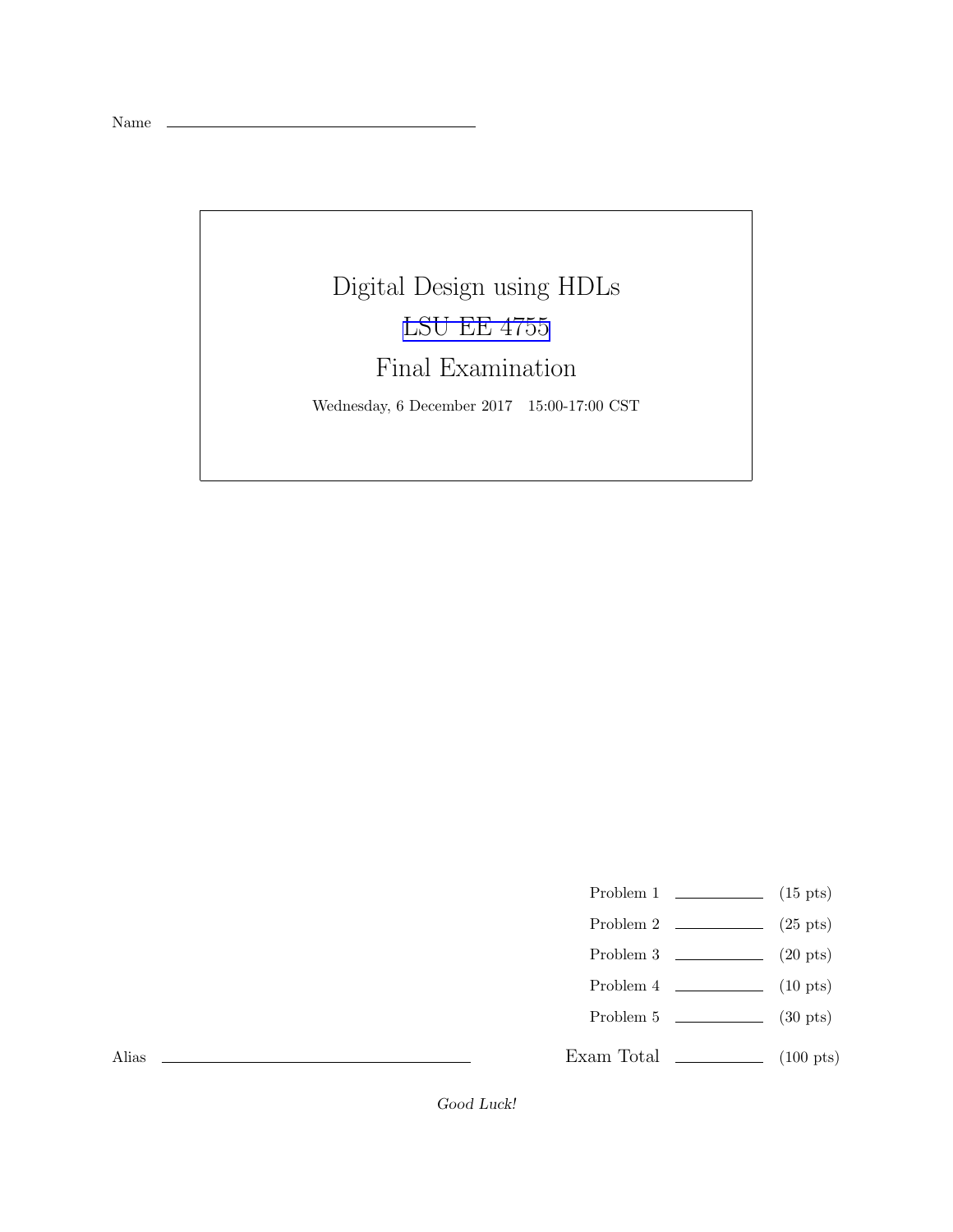Name

## Digital Design using HDLs [LSU EE 4755](https://www.ece.lsu.edu/koppel/v/) Final Examination

Wednesday, 6 December 2017 15:00-17:00 CST

- Problem 1  $\qquad \qquad$  (15 pts)
- Problem 2  $\qquad \qquad$  (25 pts)
- Problem 3 (20 pts)
- Problem 4  $\qquad \qquad$  (10 pts)
- Problem 5 (30 pts)
- Exam Total  $\qquad \qquad$  (100 pts)

Alias

Good Luck!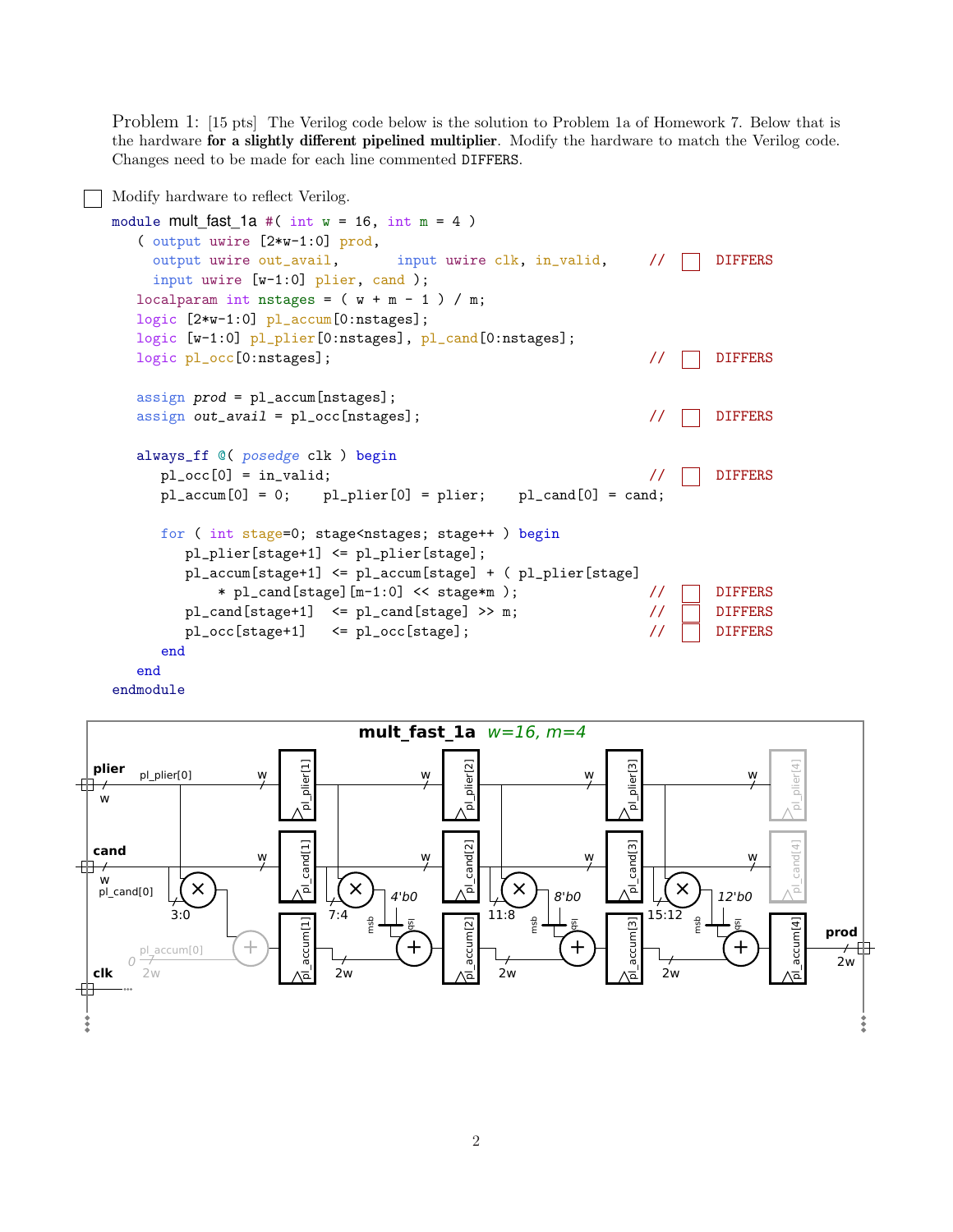Problem 1: [15 pts] The Verilog code below is the solution to Problem 1a of Homework 7. Below that is the hardware for a slightly different pipelined multiplier. Modify the hardware to match the Verilog code. Changes need to be made for each line commented DIFFERS.





2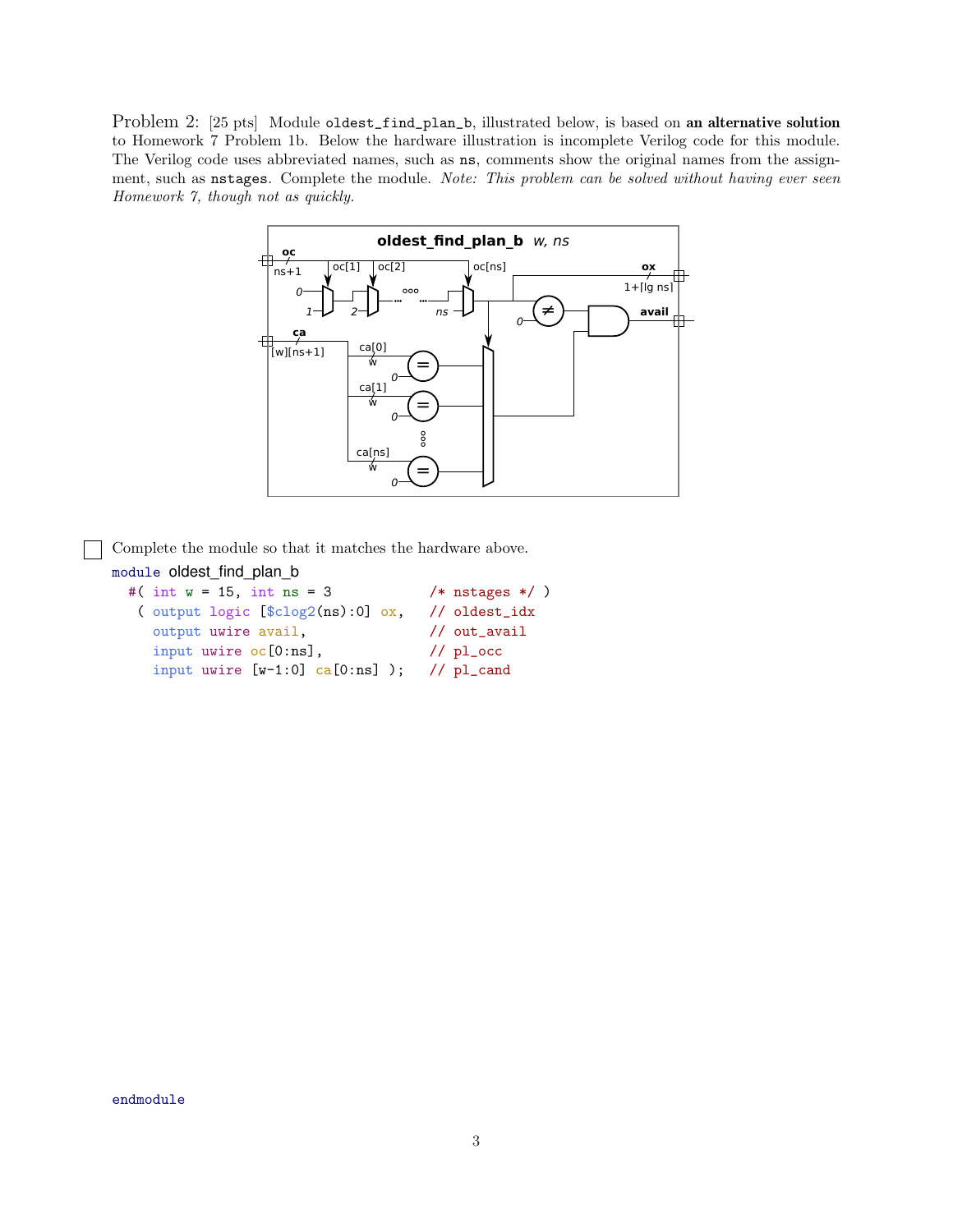Problem 2: [25 pts] Module oldest\_find\_plan\_b, illustrated below, is based on an alternative solution to Homework 7 Problem 1b. Below the hardware illustration is incomplete Verilog code for this module. The Verilog code uses abbreviated names, such as ns, comments show the original names from the assignment, such as nstages. Complete the module. *Note: This problem can be solved without having ever seen Homework 7, though not as quickly.*



Complete the module so that it matches the hardware above.

```
module oldest_find_plan_b
```
 $\blacksquare$ 

```
#( int w = 15, int ns = 3 /* nstages */ )
( output logic [$clog2(ns):0] ox, // oldest_idx
  output uwire avail, \frac{1}{100} // out_avail
  input uwire oc[0:ns], // pl\_occinput uwire [w-1:0] ca[0:ns] ); // pl_cand
```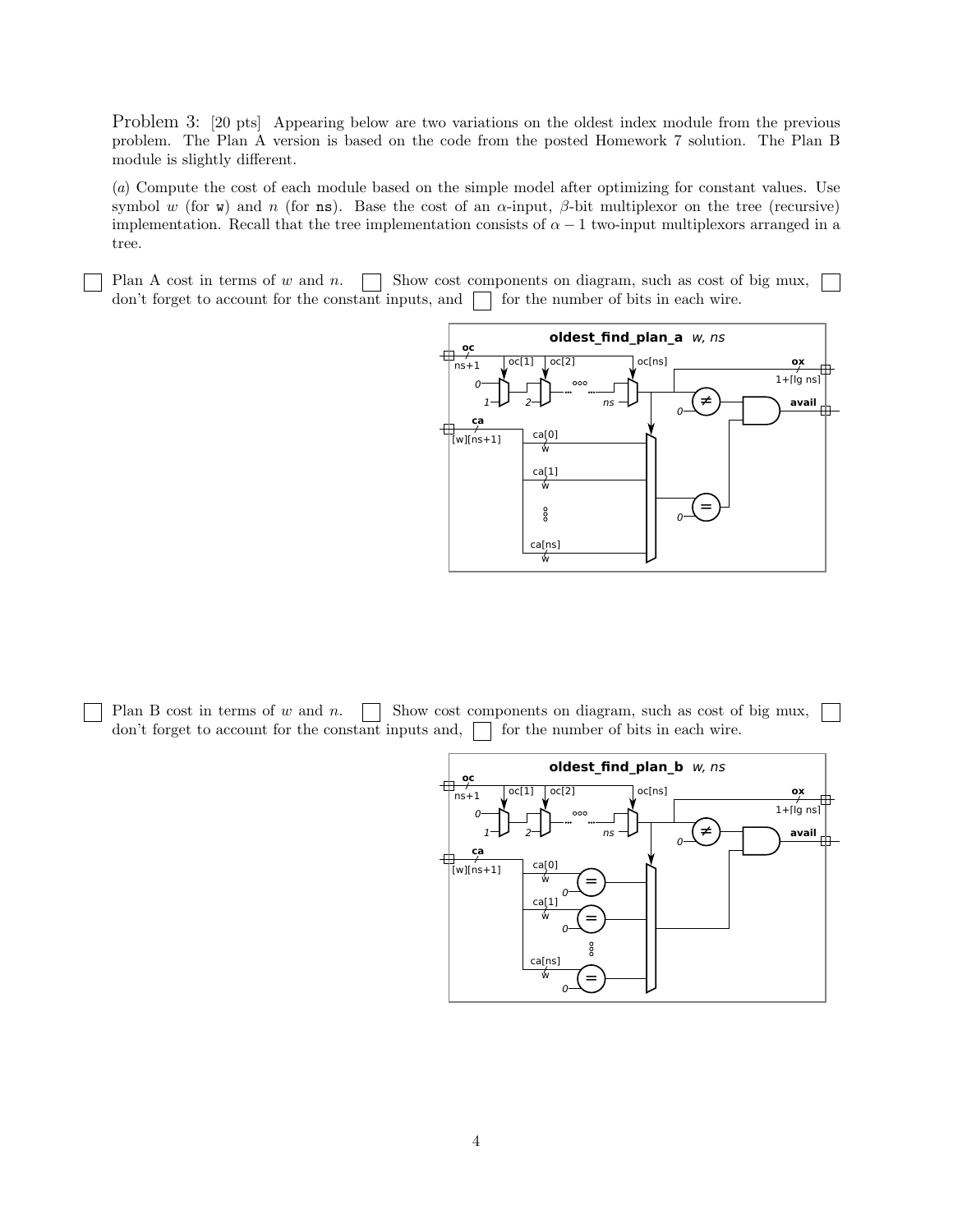Problem 3: [20 pts] Appearing below are two variations on the oldest index module from the previous problem. The Plan A version is based on the code from the posted Homework 7 solution. The Plan B module is slightly different.

(*a*) Compute the cost of each module based on the simple model after optimizing for constant values. Use symbol w (for w) and n (for ns). Base the cost of an  $\alpha$ -input,  $\beta$ -bit multiplexor on the tree (recursive) implementation. Recall that the tree implementation consists of  $\alpha - 1$  two-input multiplexors arranged in a tree.

Plan A cost in terms of w and n.  $\Box$  Show cost components on diagram, such as cost of big mux, don't forget to account for the constant inputs, and  $\Box$  for the number of bits in each wire.



Plan B cost in terms of w and n.  $\Box$  Show cost components on diagram, such as cost of big mux,  $\mathbb{R}^n$ don't forget to account for the constant inputs and,  $\Box$  for the number of bits in each wire.

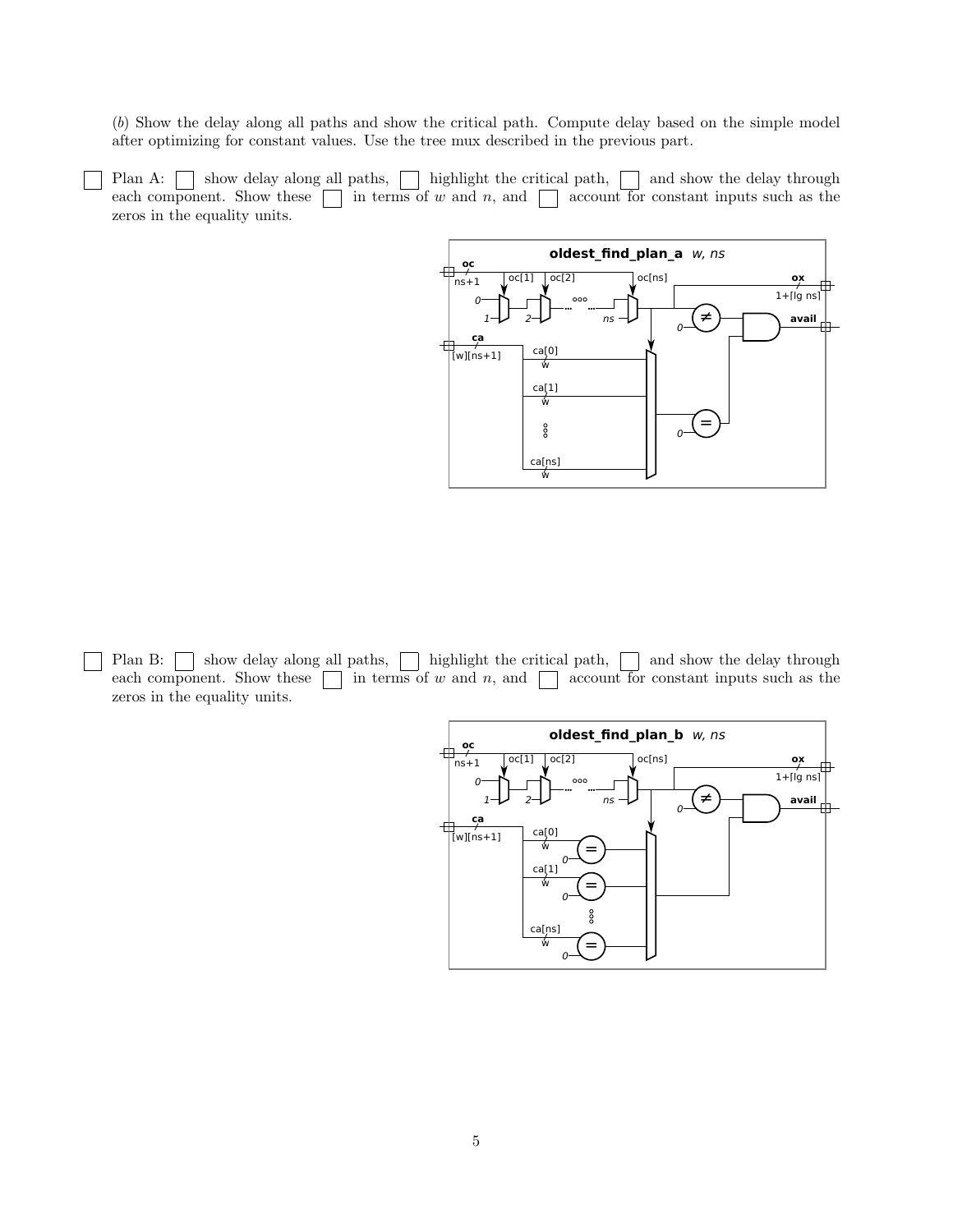(*b*) Show the delay along all paths and show the critical path. Compute delay based on the simple model after optimizing for constant values. Use the tree mux described in the previous part.

Plan A:  $\Box$  show delay along all paths,  $\Box$  highlight the critical path,  $\Box$  and show the delay through each component. Show these  $\Box$  in terms of w and n, and  $\Box$  account for constant inputs such as the zeros in the equality units.



Plan B:  $\Box$  show delay along all paths,  $\Box$  highlight the critical path,  $\Box$  and show the delay through each component. Show these  $\Box$  in terms of w and n, and  $\Box$  account for constant inputs such as the zeros in the equality units.

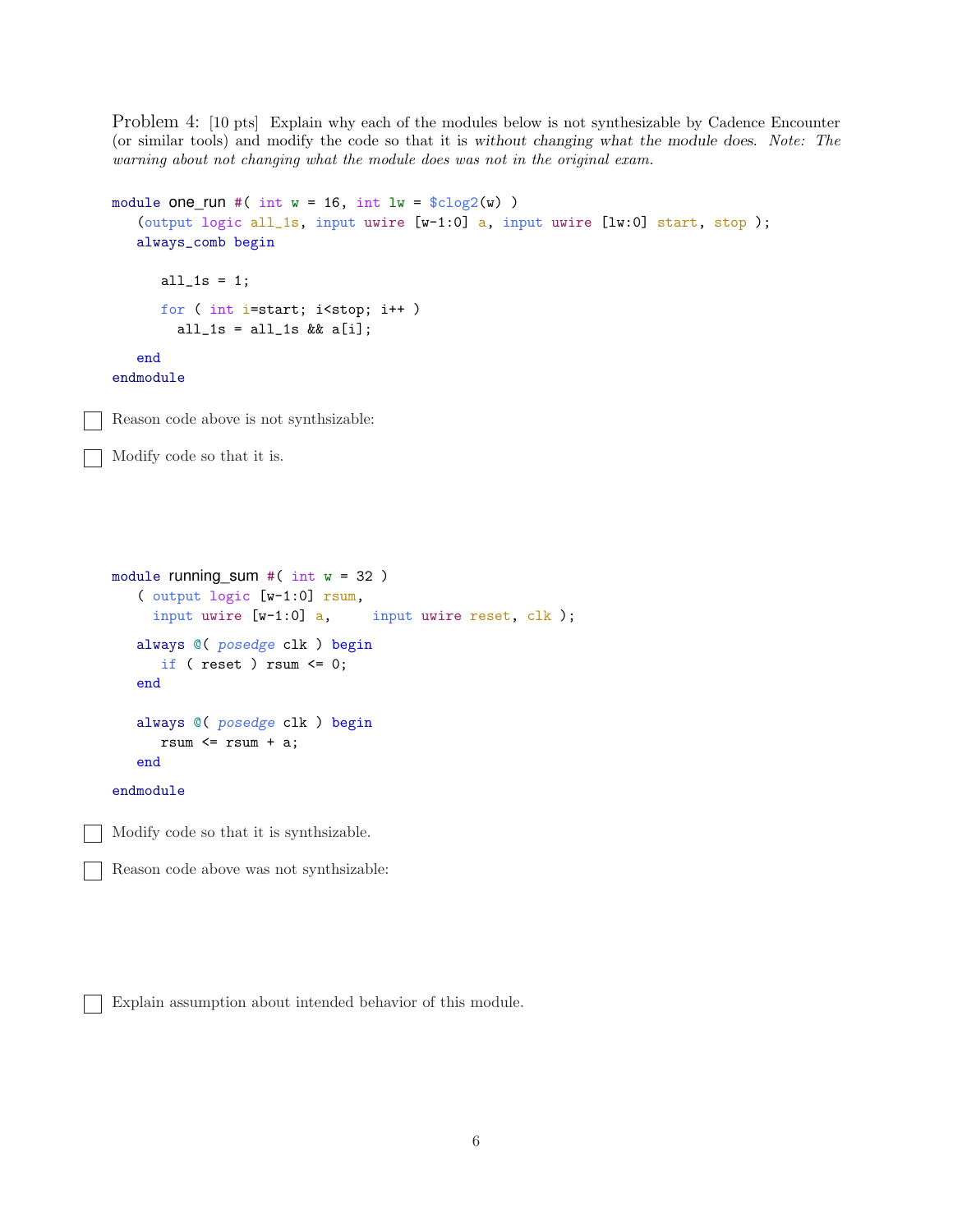Problem 4: [10 pts] Explain why each of the modules below is not synthesizable by Cadence Encounter (or similar tools) and modify the code so that it is without changing what the module does. *Note: The warning about not changing what the module does was not in the original exam.*

```
module one_run #( int w = 16, int lw = $clog2(w) )
   (output logic all_1s, input uwire [w-1:0] a, input uwire [lw:0] start, stop );
   always_comb begin
      all_1s = 1;
      for ( int i=start; i<stop; i++ )
        all_1s = all_1s & k[i];end
endmodule
Reason code above is not synthsizable:
Modify code so that it is.
module running_sum #( int w = 32 )
   ( output logic [w-1:0] rsum,
     input uwire [w-1:0] a, input uwire reset, clk );
   always @( posedge clk ) begin
      if ( reset ) rsum \leq 0;
   end
   always @( posedge clk ) begin
      rsum \leq rsum + a;
   end
endmodule
Modify code so that it is synthsizable.
Reason code above was not synthsizable:
```
Explain assumption about intended behavior of this module.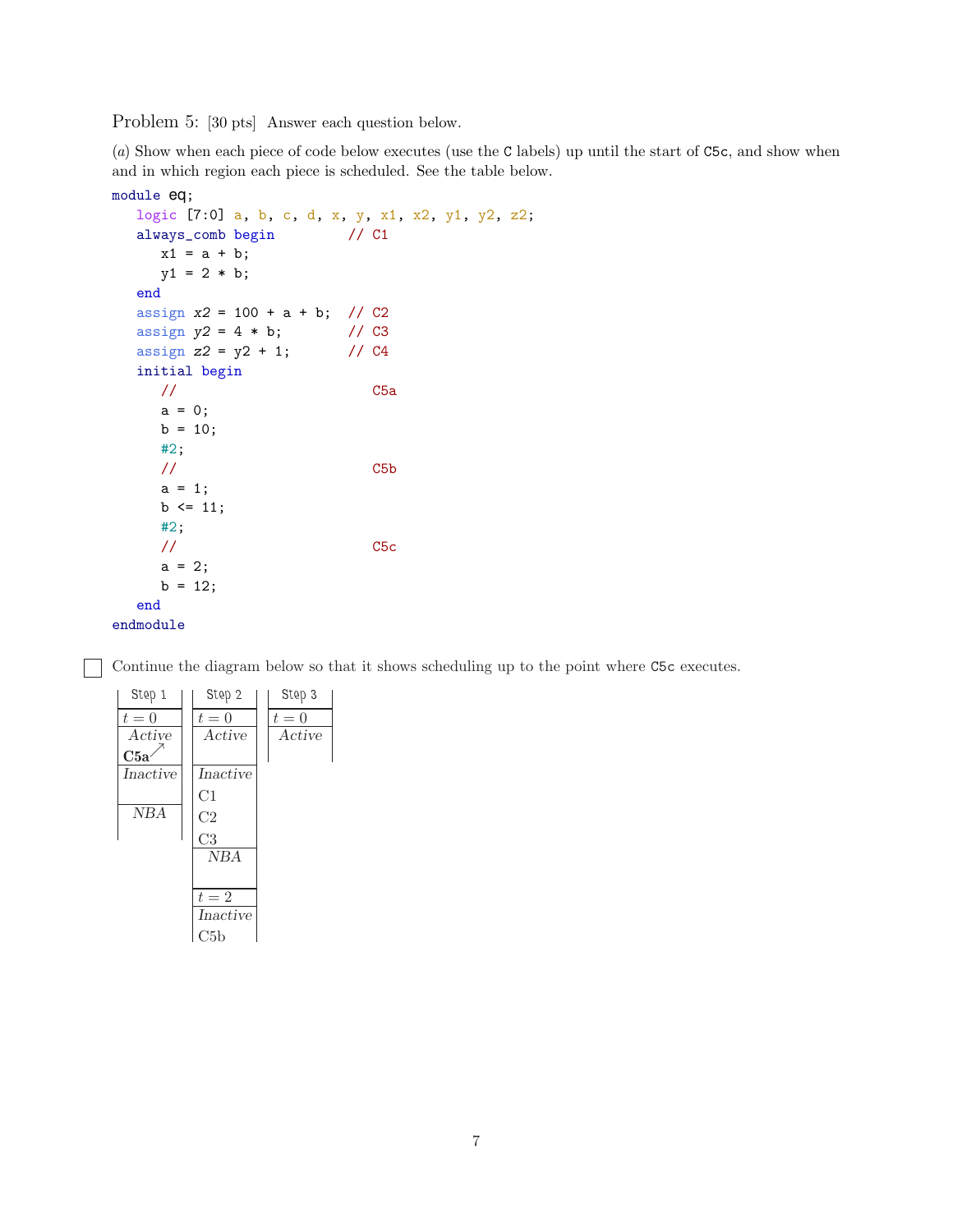Problem 5: [30 pts] Answer each question below.

(*a*) Show when each piece of code below executes (use the C labels) up until the start of C5c, and show when and in which region each piece is scheduled. See the table below.

```
module eq;
  logic [7:0] a, b, c, d, x, y, x1, x2, y1, y2, z2;
  always_comb begin // C1
     x1 = a + b;y1 = 2 * b;end
  assign x2 = 100 + a + b; // C2
  assign y2 = 4 * b; // C3<br>assign z2 = y2 + 1; // C4
  assign z^2 = y^2 + 1;
  initial begin
     // C5a
     a = 0;
     b = 10;#2;
     // C5b
     a = 1;b \le 11;
     #2;
     // C5c
     a = 2;b = 12;end
endmodule
```
Continue the diagram below so that it shows scheduling up to the point where C5c executes.

| Step 1   | Step 2         | Step 3 |
|----------|----------------|--------|
| $t=0$    | $t=0$          | $t=0$  |
| Active   | Active         | Active |
| C5a      |                |        |
| Inactive | Inactive       |        |
|          | C1             |        |
| NBA      | C <sub>2</sub> |        |
|          | C <sub>3</sub> |        |
|          | <b>NBA</b>     |        |
|          |                |        |
|          | $t=2$          |        |
|          | Inactive       |        |
|          | C5b            |        |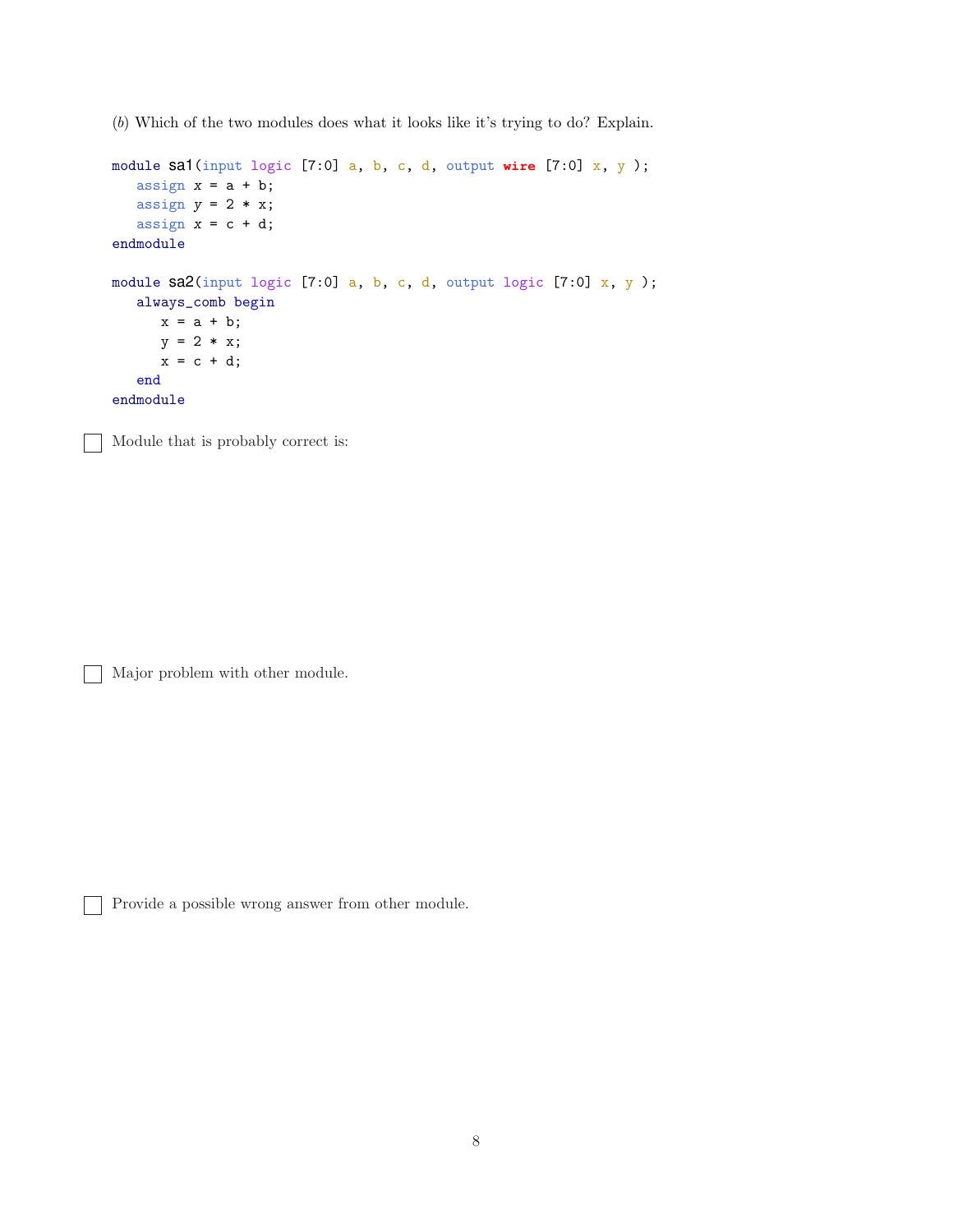(*b*) Which of the two modules does what it looks like it's trying to do? Explain.

```
module sa1(input logic [7:0] a, b, c, d, output wire [7:0] x, y );
   assign x = a + b;
  assign y = 2 * x;assign x = c + d;
endmodule
module sa2(input logic [7:0] a, b, c, d, output logic [7:0] x, y);
   always_comb begin
     x = a + b;y = 2 * x;x = c + d;end
endmodule
```
Module that is probably correct is:  $\overline{1}$ 

Major problem with other module.

Provide a possible wrong answer from other module.